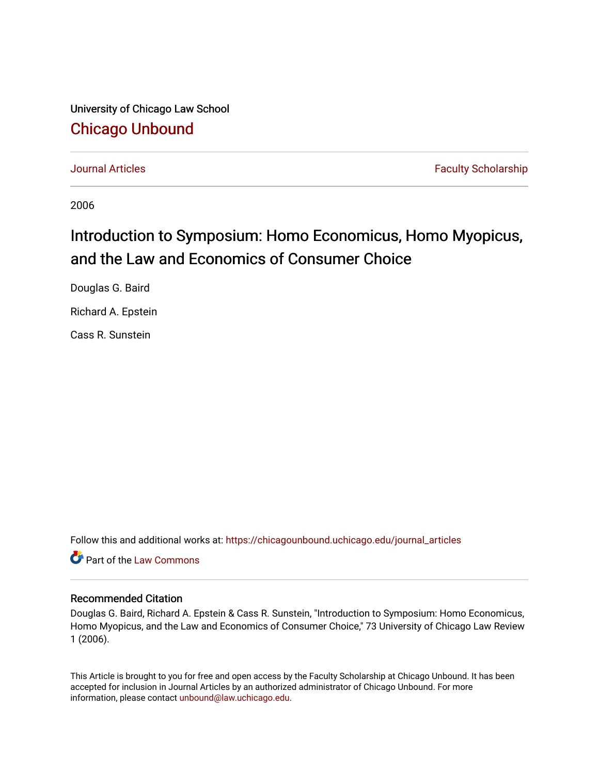University of Chicago Law School [Chicago Unbound](https://chicagounbound.uchicago.edu/)

[Journal Articles](https://chicagounbound.uchicago.edu/journal_articles) **Faculty Scholarship Journal Articles** 

2006

## Introduction to Symposium: Homo Economicus, Homo Myopicus, and the Law and Economics of Consumer Choice

Douglas G. Baird

Richard A. Epstein

Cass R. Sunstein

Follow this and additional works at: [https://chicagounbound.uchicago.edu/journal\\_articles](https://chicagounbound.uchicago.edu/journal_articles?utm_source=chicagounbound.uchicago.edu%2Fjournal_articles%2F1049&utm_medium=PDF&utm_campaign=PDFCoverPages) 

**C** Part of the [Law Commons](http://network.bepress.com/hgg/discipline/578?utm_source=chicagounbound.uchicago.edu%2Fjournal_articles%2F1049&utm_medium=PDF&utm_campaign=PDFCoverPages)

## Recommended Citation

Douglas G. Baird, Richard A. Epstein & Cass R. Sunstein, "Introduction to Symposium: Homo Economicus, Homo Myopicus, and the Law and Economics of Consumer Choice," 73 University of Chicago Law Review 1 (2006).

This Article is brought to you for free and open access by the Faculty Scholarship at Chicago Unbound. It has been accepted for inclusion in Journal Articles by an authorized administrator of Chicago Unbound. For more information, please contact [unbound@law.uchicago.edu](mailto:unbound@law.uchicago.edu).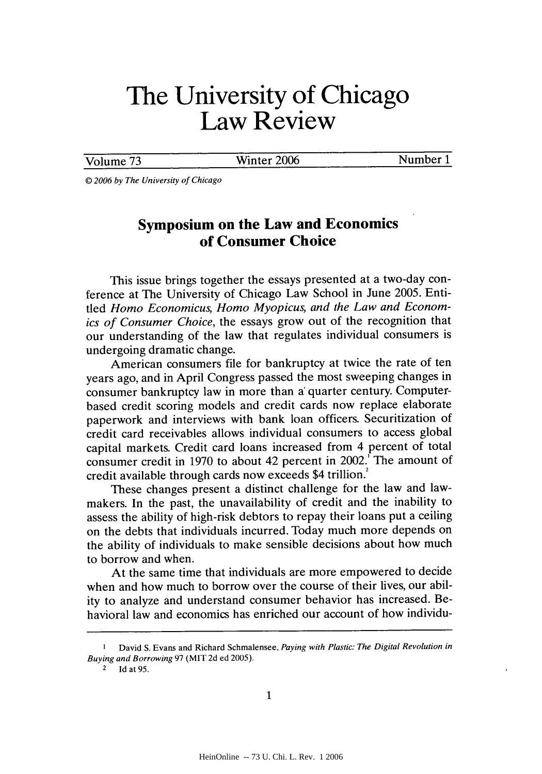## **The University of Chicago Law Review**

Volume 73 Winter 2006 Number 1

**0** *2006 by The University of Chicago*

## **Symposium on the Law and Economics of Consumer Choice**

This issue brings together the essays presented at a two-day conference at The University of Chicago Law School in June **2005.** Entitled *Homo Economicus, Homo Myopicus, and the Law and Economics of Consumer Choice,* the essays grow out of the recognition that our understanding of the law that regulates individual consumers is undergoing dramatic change.

American consumers file for bankruptcy at twice the rate of ten years ago, and in April Congress passed the most sweeping changes in consumer bankruptcy law in more than a' quarter century. Computerbased credit scoring models and credit cards now replace elaborate paperwork and interviews with bank loan officers. Securitization of credit card receivables allows individual consumers to access global capital markets. Credit card loans increased from 4 percent of total consumer credit in **1970** to about 42 percent in 2002.' The amount of credit available through cards now exceeds \$4 trillion.

These changes present a distinct challenge for the law and lawmakers. In the past, the unavailability of credit and the inability to assess the ability of high-risk debtors to repay their loans put a ceiling on the debts that individuals incurred. Today much more depends on the ability of individuals to make sensible decisions about how much to borrow and when.

At the same time that individuals are more empowered to decide when and how much to borrow over the course of their lives, our ability to analyze and understand consumer behavior has increased. Behavioral law and economics has enriched our account of how individu-

**I** David **S.** Evans and Richard Schmalensee, *Paying with Plastic: The Digital Revolution in Buying and Borrowing* **97** (MIT **2d** ed **2005).**

**<sup>2</sup> Id** at **95.**